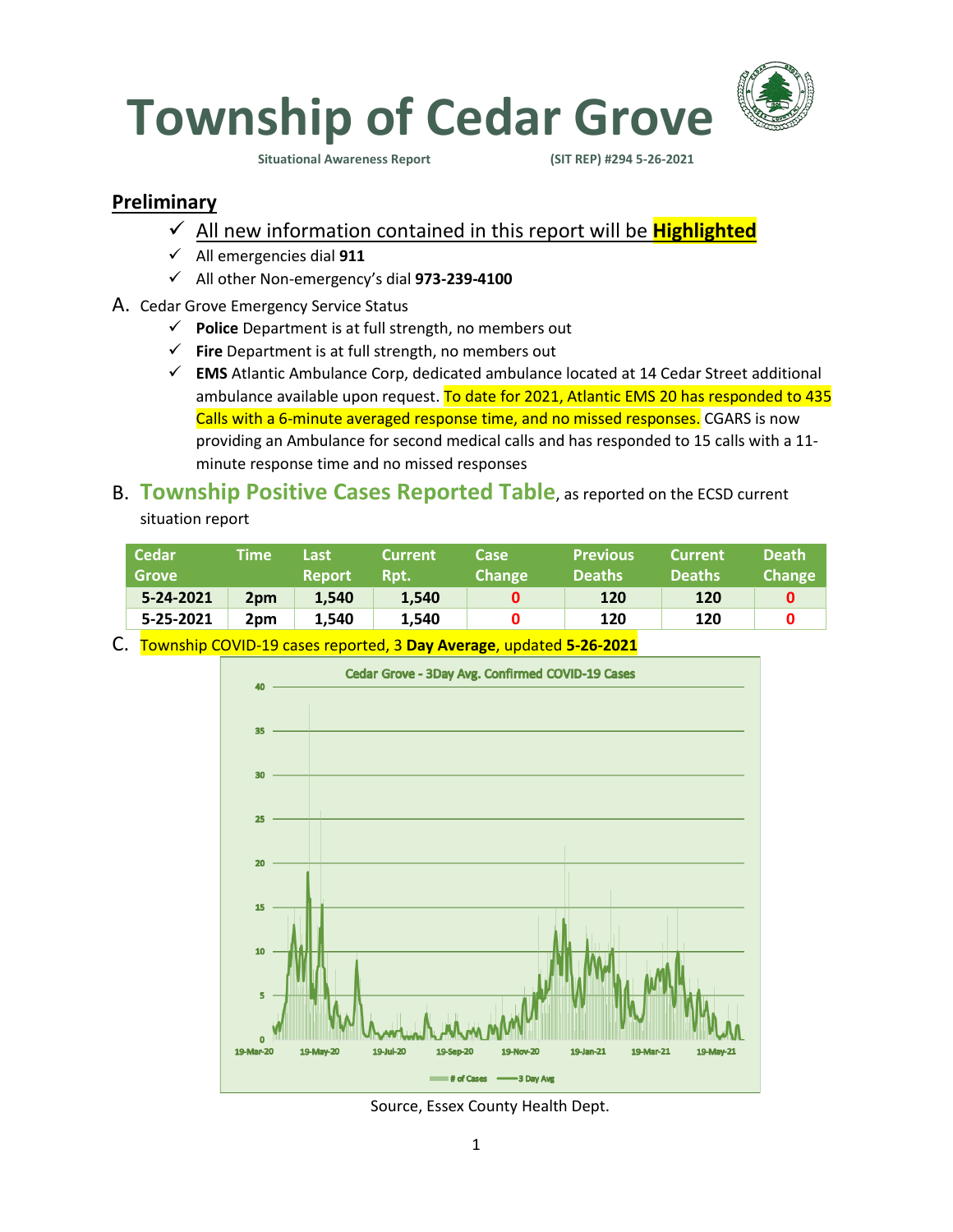

**Situational Awareness Report (SIT REP) #294 5-26-2021** 

#### **Preliminary**

- ✓ All new information contained in this report will be **Highlighted**
- ✓ All emergencies dial **911**
- ✓ All other Non-emergency's dial **973-239-4100**
- A. Cedar Grove Emergency Service Status
	- ✓ **Police** Department is at full strength, no members out
	- ✓ **Fire** Department is at full strength, no members out
	- ✓ **EMS** Atlantic Ambulance Corp, dedicated ambulance located at 14 Cedar Street additional ambulance available upon request. To date for 2021, Atlantic EMS 20 has responded to 435 Calls with a 6-minute averaged response time, and no missed responses. CGARS is now providing an Ambulance for second medical calls and has responded to 15 calls with a 11 minute response time and no missed responses

### B. **Township Positive Cases Reported Table**, as reported on the ECSD current situation report

| <b>Grove</b>                 | <b>Report</b> | Rpt.  | <b>Change</b> | <b>Deaths</b> | <b>Current</b><br><b>Deaths</b> | <b>Death</b><br><b>Change</b> |
|------------------------------|---------------|-------|---------------|---------------|---------------------------------|-------------------------------|
| 5-24-2021<br>2 <sub>pm</sub> | 1.540         | 1.540 |               | 120           | 120                             |                               |
| 5-25-2021<br>2pm             | 1.540         | 1.540 |               | 120           | 120                             |                               |

C. Township COVID-19 cases reported, 3 **Day Average**, updated **5-26-2021**



Source, Essex County Health Dept.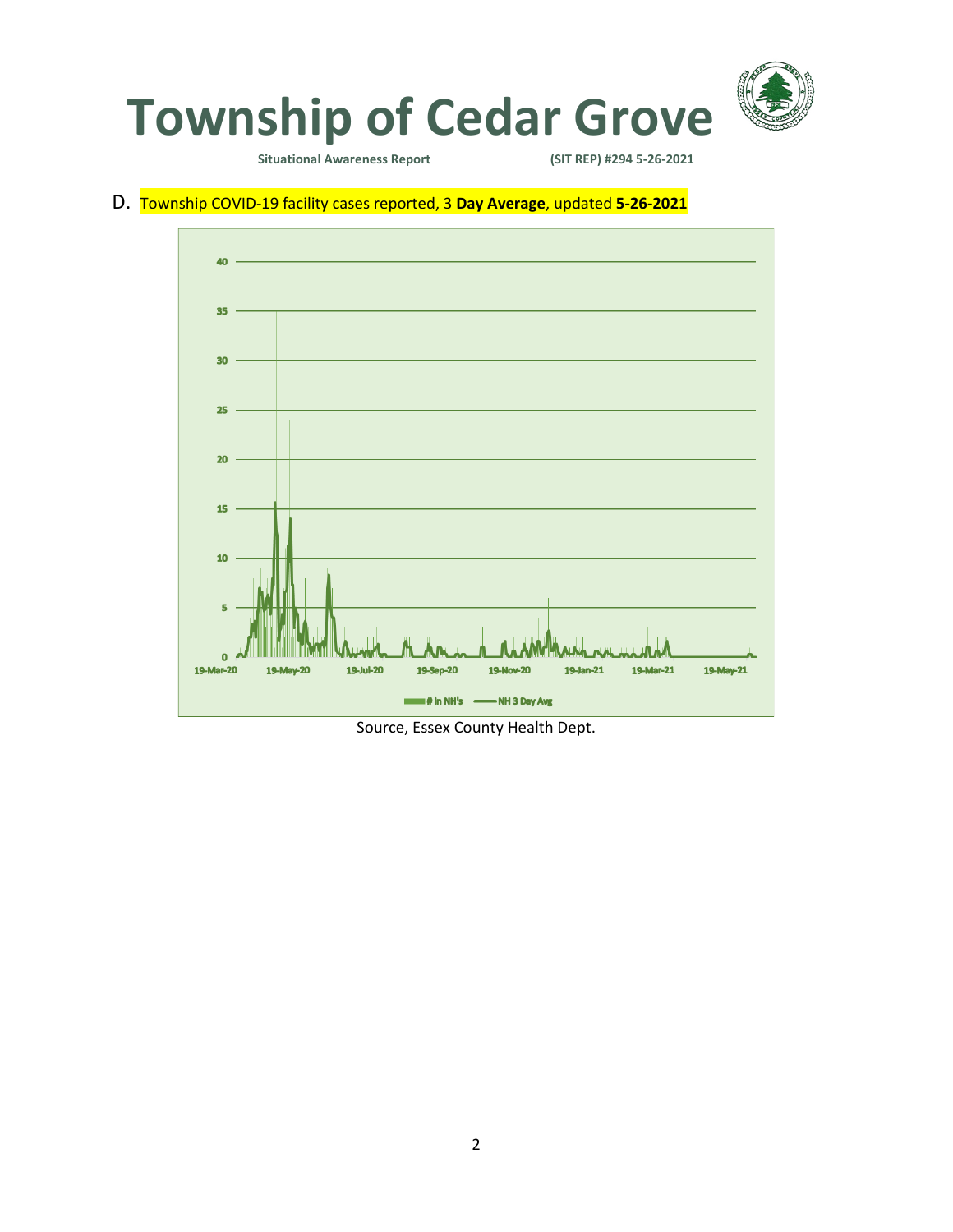

**Situational Awareness Report** 

### D. Township COVID-19 facility cases reported, 3 **Day Average**, updated **5-26-2021**



Source, Essex County Health Dept.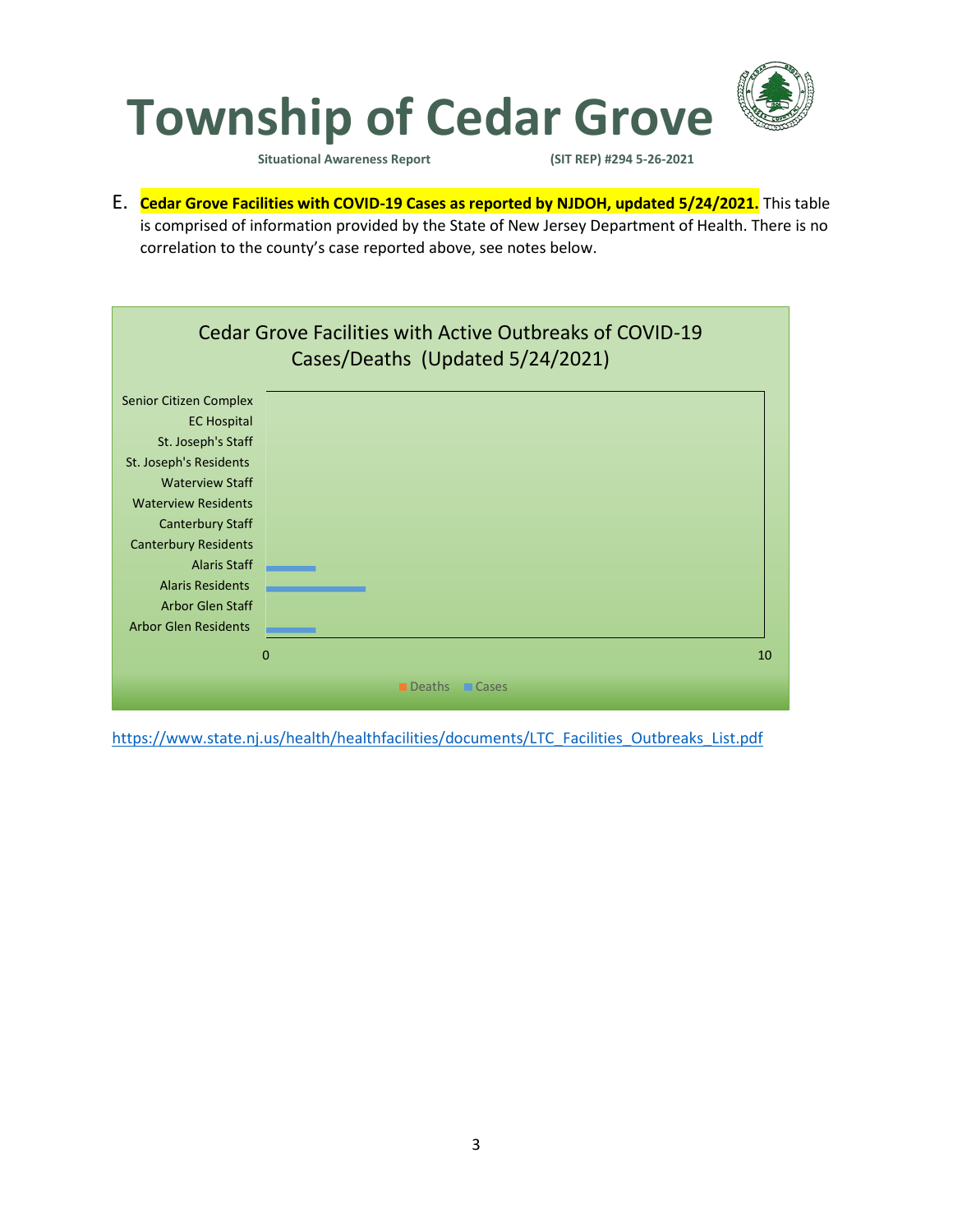

**Situational Awareness Report (SIT REP) #294 5-26-2021** 

E. **Cedar Grove Facilities with COVID-19 Cases as reported by NJDOH, updated 5/24/2021.** This table is comprised of information provided by the State of New Jersey Department of Health. There is no correlation to the county's case reported above, see notes below.



[https://www.state.nj.us/health/healthfacilities/documents/LTC\\_Facilities\\_Outbreaks\\_List.pdf](https://www.state.nj.us/health/healthfacilities/documents/LTC_Facilities_Outbreaks_List.pdf)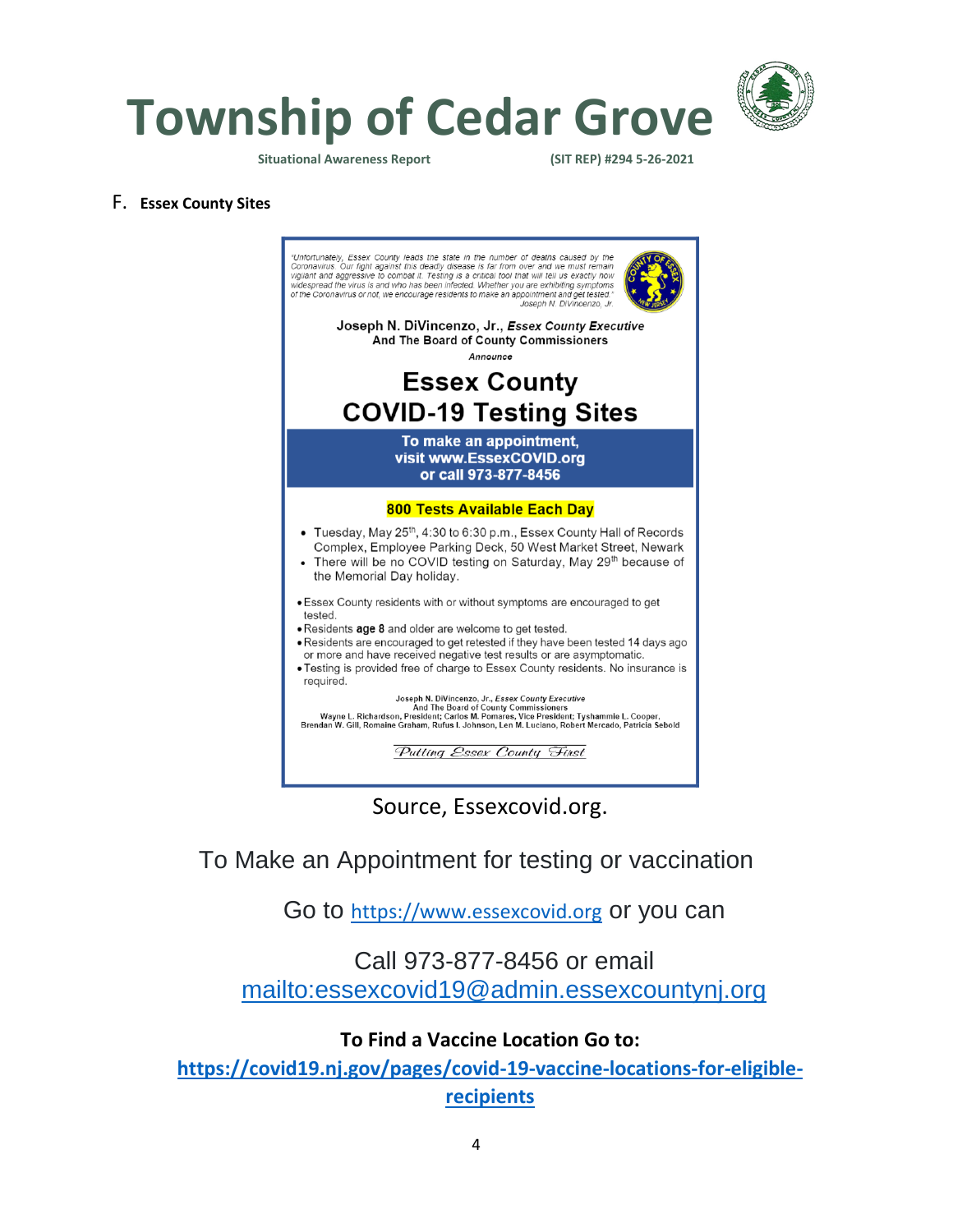

**Township of Cedar Grove**

**Situational Awareness Report (SIT REP) #294 5-26-2021** 

#### F. **Essex County Sites**



Source, Essexcovid.org.

To Make an Appointment for testing or vaccination

Go to [https://www.essexcovid.org](https://www.essexcovid.org/) or you can

## Call 973-877-8456 or email <mailto:essexcovid19@admin.essexcountynj.org>

#### **To Find a Vaccine Location Go to:**

**[https://covid19.nj.gov/pages/covid-19-vaccine-locations-for-eligible](https://covid19.nj.gov/pages/covid-19-vaccine-locations-for-eligible-recipients)[recipients](https://covid19.nj.gov/pages/covid-19-vaccine-locations-for-eligible-recipients)**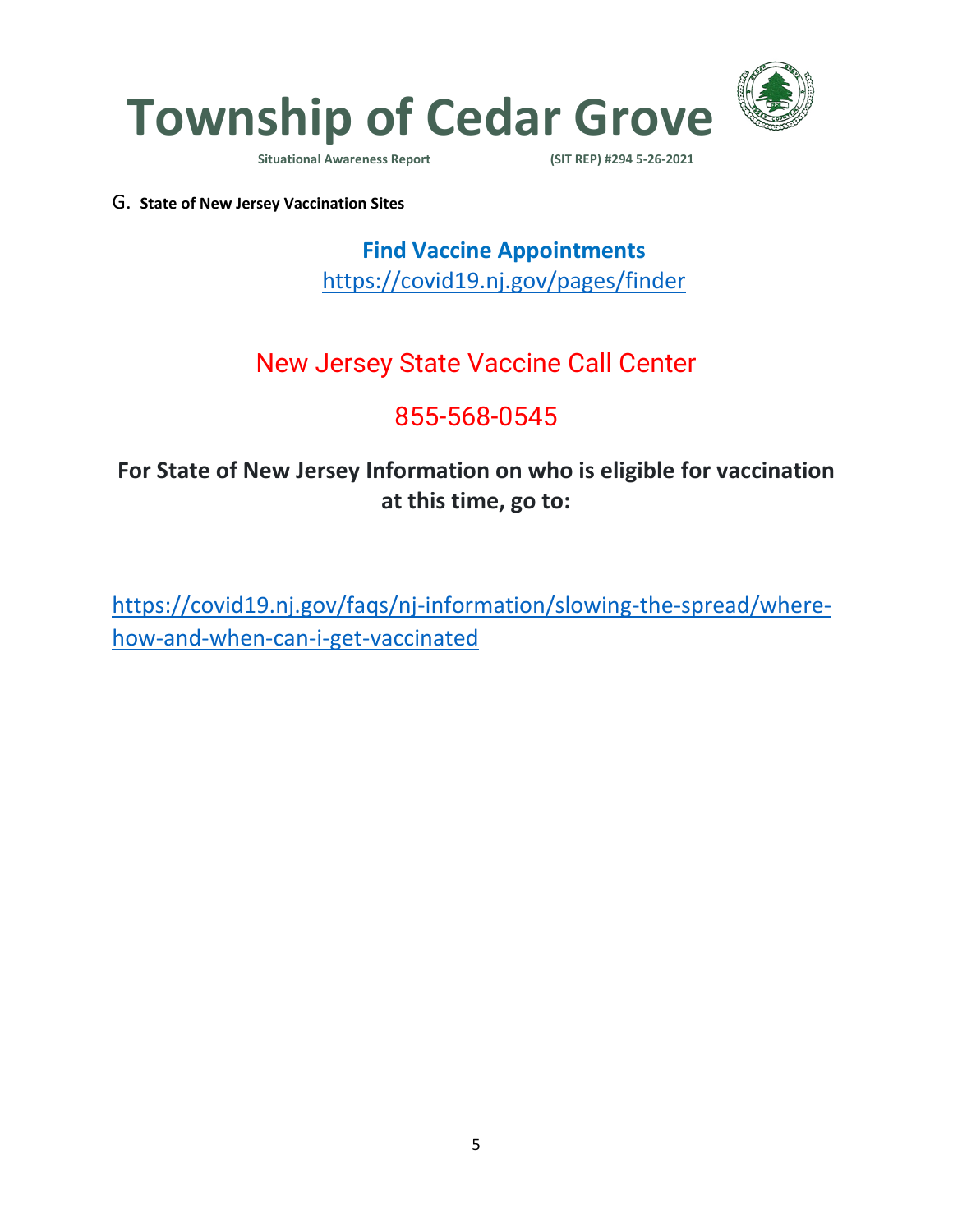

**Situational Awareness Report** 

G. **State of New Jersey Vaccination Sites**

**Find Vaccine Appointments**  <https://covid19.nj.gov/pages/finder>

# New Jersey State Vaccine Call Center

# 855-568-0545

## **For State of New Jersey Information on who is eligible for vaccination at this time, go to:**

[https://covid19.nj.gov/faqs/nj-information/slowing-the-spread/where](https://covid19.nj.gov/faqs/nj-information/slowing-the-spread/where-how-and-when-can-i-get-vaccinated)[how-and-when-can-i-get-vaccinated](https://covid19.nj.gov/faqs/nj-information/slowing-the-spread/where-how-and-when-can-i-get-vaccinated)